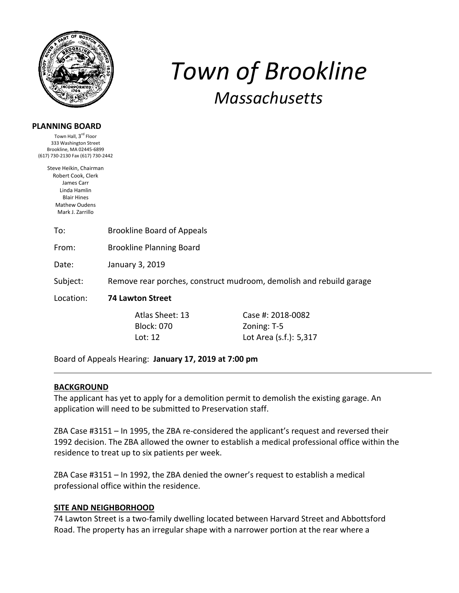

# **PLANNING BOARD**

Town Hall, 3<sup>rd</sup> Floor 333 Washington Street Brookline, MA 02445‐6899 (617) 730‐2130 Fax (617) 730‐2442

> Steve Heikin, Chairman Robert Cook, Clerk James Carr Linda Hamlin Blair Hines Mathew Oudens Mark J. Zarrillo

> > To: Brookline Board of Appeals

From: Brookline Planning Board

Date: January 3, 2019

Subject: Remove rear porches, construct mudroom, demolish and rebuild garage

Location: **74 Lawton Street** 

Block: 070 Zoning: T-5

 Atlas Sheet: 13 Case #: 2018‐0082 Lot: 12 Lot Area (s.f.): 5,317

*Town of Brookline*

*Massachusetts*

Board of Appeals Hearing: **January 17, 2019 at 7:00 pm**

# **BACKGROUND**

The applicant has yet to apply for a demolition permit to demolish the existing garage. An application will need to be submitted to Preservation staff.

ZBA Case #3151 – In 1995, the ZBA re‐considered the applicant's request and reversed their 1992 decision. The ZBA allowed the owner to establish a medical professional office within the residence to treat up to six patients per week.

ZBA Case #3151 – In 1992, the ZBA denied the owner's request to establish a medical professional office within the residence.

# **SITE AND NEIGHBORHOOD**

74 Lawton Street is a two-family dwelling located between Harvard Street and Abbottsford Road. The property has an irregular shape with a narrower portion at the rear where a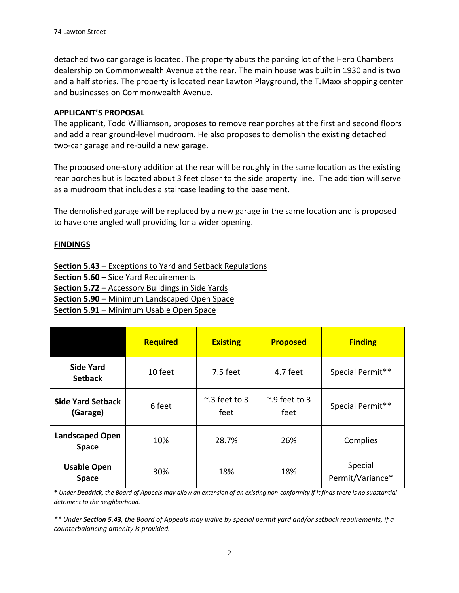detached two car garage is located. The property abuts the parking lot of the Herb Chambers dealership on Commonwealth Avenue at the rear. The main house was built in 1930 and is two and a half stories. The property is located near Lawton Playground, the TJMaxx shopping center and businesses on Commonwealth Avenue.

# **APPLICANT'S PROPOSAL**

The applicant, Todd Williamson, proposes to remove rear porches at the first and second floors and add a rear ground‐level mudroom. He also proposes to demolish the existing detached two‐car garage and re‐build a new garage.

The proposed one‐story addition at the rear will be roughly in the same location as the existing rear porches but is located about 3 feet closer to the side property line. The addition will serve as a mudroom that includes a staircase leading to the basement.

The demolished garage will be replaced by a new garage in the same location and is proposed to have one angled wall providing for a wider opening.

# **FINDINGS**

**Section 5.43** – Exceptions to Yard and Setback Regulations **Section 5.60** – Side Yard Requirements **Section 5.72** – Accessory Buildings in Side Yards **Section 5.90** – Minimum Landscaped Open Space **Section 5.91** – Minimum Usable Open Space

|                                        | Required | <b>Existing</b>             | <b>Proposed</b>             | <b>Finding</b>              |
|----------------------------------------|----------|-----------------------------|-----------------------------|-----------------------------|
| <b>Side Yard</b><br><b>Setback</b>     | 10 feet  | $7.5$ feet                  | 4.7 feet                    | Special Permit**            |
| <b>Side Yard Setback</b><br>(Garage)   | 6 feet   | $\sim$ .3 feet to 3<br>feet | $\sim$ .9 feet to 3<br>feet | Special Permit**            |
| <b>Landscaped Open</b><br><b>Space</b> | 10%      | 28.7%                       | 26%                         | Complies                    |
| <b>Usable Open</b><br><b>Space</b>     | 30%      | 18%                         | 18%                         | Special<br>Permit/Variance* |

\* Under Deadrick, the Board of Appeals may allow an extension of an existing non-conformity if it finds there is no substantial *detriment to the neighborhood.* 

\*\* Under Section 5.43, the Board of Appeals may waive by special permit yard and/or setback requirements, if a *counterbalancing amenity is provided.*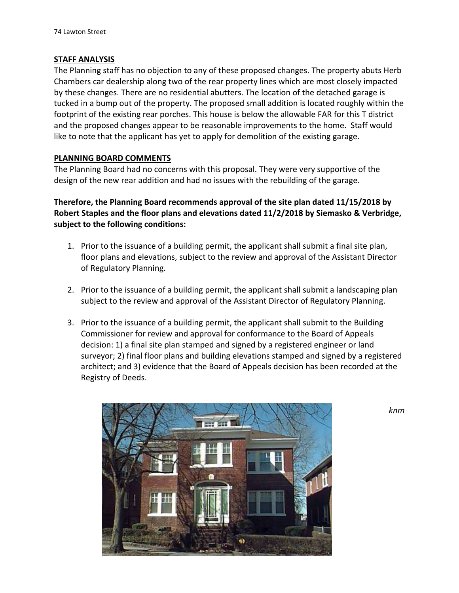# **STAFF ANALYSIS**

The Planning staff has no objection to any of these proposed changes. The property abuts Herb Chambers car dealership along two of the rear property lines which are most closely impacted by these changes. There are no residential abutters. The location of the detached garage is tucked in a bump out of the property. The proposed small addition is located roughly within the footprint of the existing rear porches. This house is below the allowable FAR for this T district and the proposed changes appear to be reasonable improvements to the home. Staff would like to note that the applicant has yet to apply for demolition of the existing garage.

# **PLANNING BOARD COMMENTS**

The Planning Board had no concerns with this proposal. They were very supportive of the design of the new rear addition and had no issues with the rebuilding of the garage.

**Therefore, the Planning Board recommends approval of the site plan dated 11/15/2018 by Robert Staples and the floor plans and elevations dated 11/2/2018 by Siemasko & Verbridge, subject to the following conditions:**

- 1. Prior to the issuance of a building permit, the applicant shall submit a final site plan, floor plans and elevations, subject to the review and approval of the Assistant Director of Regulatory Planning.
- 2. Prior to the issuance of a building permit, the applicant shall submit a landscaping plan subject to the review and approval of the Assistant Director of Regulatory Planning.
- 3. Prior to the issuance of a building permit, the applicant shall submit to the Building Commissioner for review and approval for conformance to the Board of Appeals decision: 1) a final site plan stamped and signed by a registered engineer or land surveyor; 2) final floor plans and building elevations stamped and signed by a registered architect; and 3) evidence that the Board of Appeals decision has been recorded at the Registry of Deeds.



*knm*